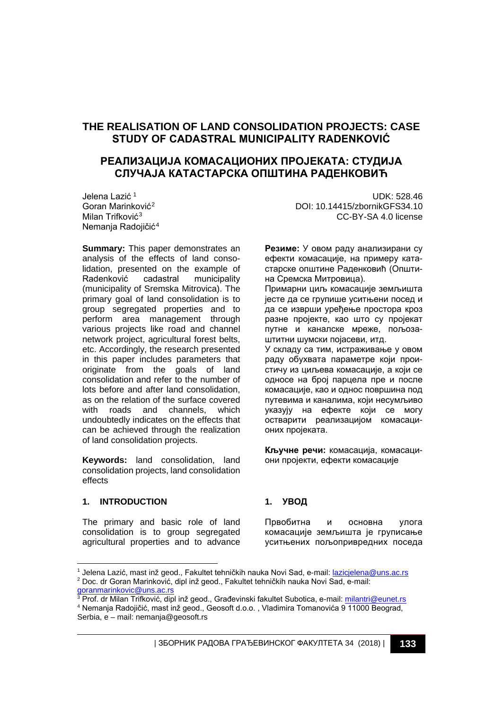# **THE REALISATION OF LAND CONSOLIDATION PROJECTS: CASE STUDY OF CADASTRAL MUNICIPALITY RADENKOVIĆ**

# **РЕАЛИЗАЦИЈА КОМАСАЦИОНИХ ПРОЈЕКАТА: СТУДИЈА СЛУЧАЈА КАТАСТАРСКА ОПШТИНА РАДЕНКОВИЋ**

Jelena Lazić [1](#page-0-0) Goran Marinković[2](#page-0-1) Milan Trifković<sup>[3](#page-0-2)</sup> Nemania Radojičić<sup>[4](#page-0-3)</sup>

**Summary:** This paper demonstrates an analysis of the effects of land consolidation, presented on the example of<br>Radenković cadastral municipality municipality (municipality of Sremska Mitrovica). The primary goal of land consolidation is to group segregated properties and to perform area management through various projects like road and channel network project, agricultural forest belts, etc. Accordingly, the research presented in this paper includes parameters that originate from the goals of land consolidation and refer to the number of lots before and after land consolidation, as on the relation of the surface covered with roads and channels, which undoubtedly indicates on the effects that can be achieved through the realization of land consolidation projects.

**Keywords:** land consolidation, land consolidation projects, land consolidation effects

### **1. INTRODUCTION**

j

The primary and basic role of land consolidation is to group segregated agricultural properties and to advance

UDK: 528.46 DOI: 10.14415/zbornikGFS34.10 CC-BY-SA 4.0 license

**Резиме:** У овом раду анализирани су ефекти комасације, на примеру катастарске општине Раденковић (Општина Сремска Митровица).

Примарни циљ комасације земљишта јесте да се групише уситњени посед и да се изврши уређење простора кроз разне пројекте, као што су пројекат путне и каналске мреже, пољозаштитни шумски појасеви, итд.

У складу са тим, истраживање у овом раду обухвата параметре који проистичу из циљева комасације, а који се односе на број парцела пре и после комасације, као и однос површина под путевима и каналима, који несумљиво указују на ефекте који се могу остварити реализацијом комасационих пројеката.

**Кључне речи:** комасација, комасациони пројекти, ефекти комасације

#### **1. УВОД**

Првобитна и основна улога комасације земљишта је груписање уситњених пољопривредних поседа

<span id="page-0-1"></span><span id="page-0-0"></span><sup>1</sup> Jelena Lazić, mast inž geod., Fakultet tehničkih nauka Novi Sad, e-mail: lazicjelena@uns.ac.rs <sup>2</sup> Doc. dr Goran Marinković, dipl inž geod., Fakultet tehničkih nauka Novi Sad, e-mail: goranmarinkovic@uns.ac.rs

<span id="page-0-3"></span><span id="page-0-2"></span><sup>&</sup>lt;sup>3</sup> Prof. dr Milan Trifković, dipl inž geod., Građevinski fakultet Subotica, e-mail: <u>milantri@eunet.rs</u> <sup>4</sup> Nemanja Radojičić, mast inž geod., Geosoft d.o.o. , Vladimira Tomanovića 9 11000 Beograd, Serbia, e – mail[: nemanja@geosoft.rs](mailto:nemanja@geosoft.rs)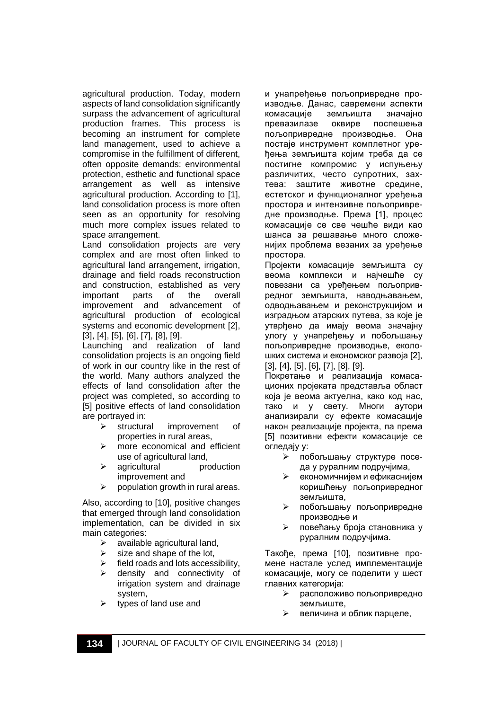agricultural production. Today, modern aspects of land consolidation significantly surpass the advancement of agricultural production frames. This process is becoming an instrument for complete land management, used to achieve a compromise in the fulfillment of different, often opposite demands: environmental protection, esthetic and functional space arrangement as well as intensive agricultural production. According to [1], land consolidation process is more often seen as an opportunity for resolving much more complex issues related to space arrangement.

Land consolidation projects are very complex and are most often linked to agricultural land arrangement, irrigation, drainage and field roads reconstruction and construction, established as very important parts of the overall improvement and advancement of agricultural production of ecological systems and economic development [2], [3], [4], [5], [6], [7], [8], [9].

Launching and realization of land consolidation projects is an ongoing field of work in our country like in the rest of the world. Many authors analyzed the effects of land consolidation after the project was completed, so according to [5] positive effects of land consolidation are portrayed in:

- > structural improvement of properties in rural areas,
- > more economical and efficient use of agricultural land,
- $\triangleright$  agricultural production improvement and
- $\triangleright$  population growth in rural areas.

Also, according to [10], positive changes that emerged through land consolidation implementation, can be divided in six main categories:

- $\triangleright$  available agricultural land,
- $\triangleright$  size and shape of the lot,
- field roads and lots accessibility,
- > density and connectivity of irrigation system and drainage system,
- types of land use and

и унапређење пољопривредне производње. Данас, савремени аспекти комасације земљишта значајно оквире поспешења пољопривредне производње. Она постаје инструмент комплетног уређења земљишта којим треба да се постигне компромис у испуњењу различитих, често супротних, захтева: заштите животне средине, естетског и функционалног уређења простора и интензивне пољопривредне производње. Према [1], процес комасације се све чешће види као шанса за решавање много сложенијих проблема везаних за уређење простора.

Пројекти комасације земљишта су веома комплекси и најчешће су повезани са уређењем пољопривредног земљишта, наводњавањем, одводњавањем и реконструкцијом и изградњом атарских путева, за које је утврђено да имају веома значајну улогу у унапређењу и побољшању пољопривредне производње, еколошких система и економског развоја [2], [3], [4], [5], [6], [7], [8], [9].

Покретање и реализација комасационих пројеката представља област која је веома актуелна, како код нас, тако и у свету. Многи аутори анализирали су ефекте комасације након реализације пројекта, па према [5] позитивни ефекти комасације се огледају у:

- побољшању структуре поседа у руралним подручјима,
- економичнијем и ефикаснијем коришћењу пољопривредног земљишта,
- побољшању пољопривредне производње и
- повећању броја становника у руралним подручјима.

Такође, према [10], позитивне промене настале услед имплементације комасације, могу се поделити у шест главних категорија:

- расположиво пољопривредно земљиште,
- величина и облик парцеле,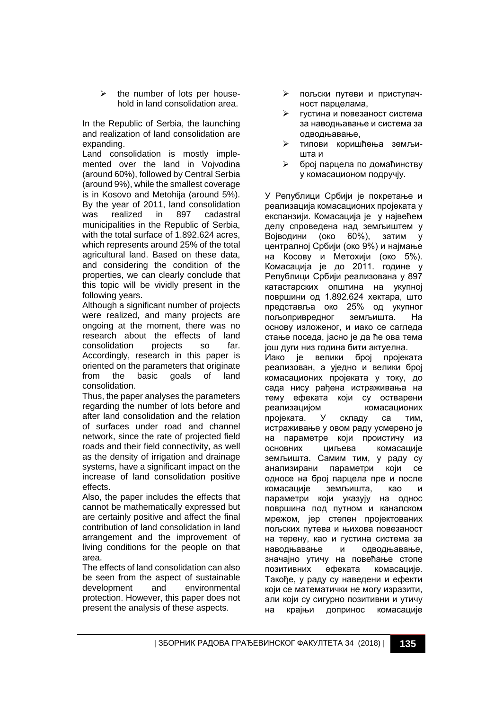$\triangleright$  the number of lots per household in land consolidation area.

In the Republic of Serbia, the launching and realization of land consolidation are expanding.

Land consolidation is mostly implemented over the land in Vojvodina (around 60%), followed by Central Serbia (around 9%), while the smallest coverage is in Kosovo and Metohija (around 5%). By the year of 2011, land consolidation was realized in 897 cadastral municipalities in the Republic of Serbia, with the total surface of 1,892,624 acres. which represents around 25% of the total agricultural land. Based on these data, and considering the condition of the properties, we can clearly conclude that this topic will be vividly present in the following years.

Although a significant number of projects were realized, and many projects are ongoing at the moment, there was no research about the effects of land consolidation projects so far. Accordingly, research in this paper is oriented on the parameters that originate from the basic goals of land consolidation.

Thus, the paper analyses the parameters regarding the number of lots before and after land consolidation and the relation of surfaces under road and channel network, since the rate of projected field roads and their field connectivity, as well as the density of irrigation and drainage systems, have a significant impact on the increase of land consolidation positive effects.

Also, the paper includes the effects that cannot be mathematically expressed but are certainly positive and affect the final contribution of land consolidation in land arrangement and the improvement of living conditions for the people on that area.

The effects of land consolidation can also be seen from the aspect of sustainable development and environmental protection. However, this paper does not present the analysis of these aspects.

- пољски путеви и приступачност парцелама,
- густина и повезаност система за наводњавање и система за одводњавање,
- типови коришћења земљишта и
- број парцела по домаћинству у комасационом подручју.

У Републици Србији је покретање и реализација комасационих пројеката у експанзији. Комасација је у највећем делу спроведена над земљиштем у Војводини (око 60%), затим у централној Србији (око 9%) и најмање на Косову и Метохији (око 5%). Комасација је до 2011. године у Републици Србији реализована у 897 катастарских општина на укупној површини од 1.892.624 хектара, што представља око 25% од укупног пољопривредног земљишта. На основу изложеног, и иако се сагледа стање поседа, јасно је да ће ова тема још дуги низ година бити актуелна. Иако је велики број пројеката реализован, а уједно и велики број комасационих пројеката у току, до сада нису рађена истраживања на тему ефеката који су остварени реализацијом комасационих пројеката. У складу са тим, истраживање у овом раду усмерено је на параметре који проистичу из основних циљева комасације земљишта. Самим тим, у раду су анализирани параметри који се односе на број парцела пре и после комасације земљишта, као и параметри који указују на однос површина под путном и каналском мрежом, јер степен пројектованих пољских путева и њихова повезаност на терену, као и густина система за наводњавање и одводњавање, значајно утичу на повећање стопе позитивних ефеката комасације. Такође, у раду су наведени и ефекти који се математички не могу изразити, али који су сигурно позитивни и утичу на крајњи допринос комасације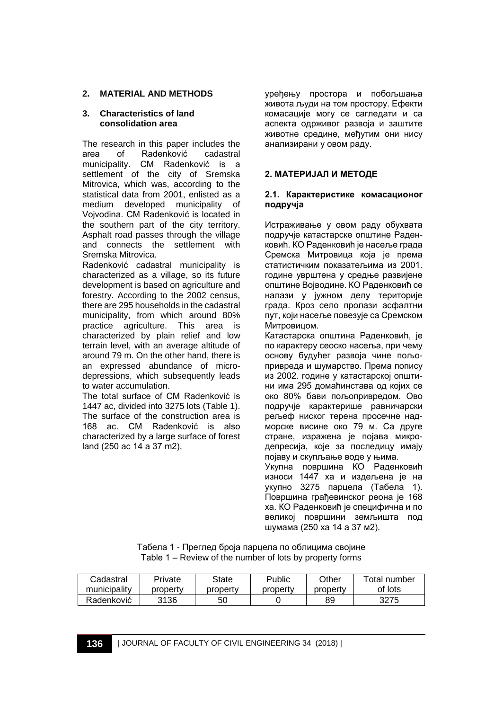## **2. MATERIAL AND METHODS**

## **3. Characteristics of land consolidation area**

The research in this paper includes the<br>area of Radenković cadastral area of Radenković municipality. CM Radenković is a settlement of the city of Sremska Mitrovica, which was, according to the statistical data from 2001, enlisted as a medium developed municipality of Vojvodina. CM Radenković is located in the southern part of the city territory. Asphalt road passes through the village and connects the settlement with Sremska Mitrovica.

Radenković cadastral municipality is characterized as a village, so its future development is based on agriculture and forestry. According to the 2002 census, there are 295 households in the cadastral municipality, from which around 80% practice agriculture. This area is characterized by plain relief and low terrain level, with an average altitude of around 79 m. On the other hand, there is an expressed abundance of microdepressions, which subsequently leads to water accumulation.

The total surface of CM Radenković is 1447 ac, divided into 3275 lots (Table 1). The surface of the construction area is 168 ac. CM Radenković is also characterized by a large surface of forest land (250 ac 14 а 37 m2).

уређењу простора и побољшања живота људи на том простору. Ефекти комасације могу се сагледати и са аспекта одрживог развоја и заштите животне средине, међутим они нису анализирани у овом раду.

# **2. МАТЕРИЈАЛ И МЕТОДЕ**

### **2.1. Карактеристике комасационог подручја**

Истраживање у овом раду обухвата подручје катастарске општине Раденковић. КО Раденковић је насеље града Сремска Митровица која је према статистичким показатељима из 2001. године уврштена у средње развијене општине Војводине. КО Раденковић се налази у јужном делу територије града. Кроз село пролази асфалтни пут, који насеље повезује са Сремском Митровицом.

Катастарска општина Раденковић, је по карактеру сеоско насеља, при чему основу будућег развоја чине пољопривреда и шумарство. Према попису из 2002. године у катастарској општини има 295 домаћинстава од којих се око 80% бави пољопривредом. Ово подручје карактерише равничарски рељеф ниског терена просечне надморске висине око 79 м. Са друге стране, изражена је појава микродепресија, које за последицу имају појаву и скупљање воде у њима. Укупна површина КО Раденковић износи 1447 ха и издељена је на укупно 3275 парцела (Табела 1). Површина грађевинског реона је 168 ха. КО Раденковић је специфична и по великој површини земљишта под шумама (250 ха 14 а 37 м2).

| Табела 1 - Преглед броја парцела по облицима својине     |  |
|----------------------------------------------------------|--|
| Table 1 – Review of the number of lots by property forms |  |

| Cadastral    | Private  | State    | Public   | Other    | Total number |
|--------------|----------|----------|----------|----------|--------------|
| municipality | property | propertv | property | property | of lots      |
| Radenković   | 3136     | 50       |          | 89       | 3275         |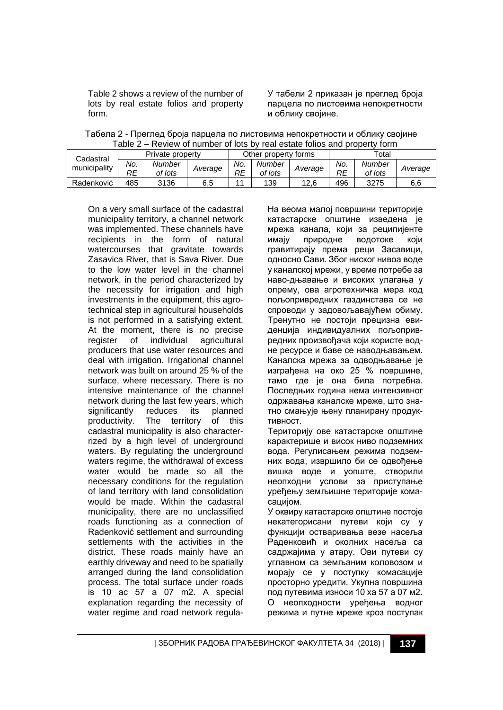Table 2 shows a review of the number of lots by real estate folios and property form.

У табели 2 приказан је преглед броја парцела по листовима непокретности и облику својине.

| Табела 2 - Преглед броја парцела по листовима непокретности и облику својине |  |
|------------------------------------------------------------------------------|--|
| Table 2 – Review of number of lots by real estate folios and property form   |  |

| Cadastral    | Private property |                   | Other property forms |           |                   | $\tau$ otal |           |                   |         |
|--------------|------------------|-------------------|----------------------|-----------|-------------------|-------------|-----------|-------------------|---------|
| municipality | No.<br>RE        | Number<br>of lots | Average              | No.<br>RE | Number<br>of lots | Average     | No.<br>RE | Number<br>of lots | Average |
| Radenković   | 485              | 3136              | 6,5                  |           | 139               | 12.6        | 496       | 3275              | 6,6     |

On a very small surface of the cadastral municipality territory, a channel network was implemented. These channels have recipients in the form of natural watercourses that gravitate towards Zasavica River, that is Sava River. Due to the low water level in the channel network, in the period characterized by the necessity for irrigation and high investments in the equipment, this agrotechnical step in agricultural households is not performed in a satisfying extent. At the moment, there is no precise register of individual agricultural producers that use water resources and deal with irrigation. Irrigational channel network was built on around 25 % of the surface, where necessary. There is no intensive maintenance of the channel network during the last few years, which significantly reduces its planned productivity. The territory of this cadastral municipality is also characterrized by a high level of underground waters. By regulating the underground waters regime, the withdrawal of excess water would be made so all the necessary conditions for the regulation of land territory with land consolidation would be made. Within the cadastral municipality, there are no unclassified roads functioning as a connection of Radenković settlement and surrounding settlements with the activities in the district. These roads mainly have an earthly driveway and need to be spatially arranged during the land consolidation process. The total surface under roads is 10 ac 57 а 07 m2. A special explanation regarding the necessity of water regime and road network regulaНа веома малој површини територије катастарске општине изведена је мрежа канала, који за реципијенте имају природне водотоке који гравитирају према реци Засавици, односно Сави. Због ниског нивоа воде у каналској мрежи, у време потребе за наво-дњавање и високих улагања у опрему, ова агротехничка мера код пољопривредних газдинстава се не спроводи у задовољавајућем обиму. Тренутно не постоји прецизна евиденција индивидуалних пољопривредних произвођача који користе водне ресурсе и баве се наводњавањем. Каналска мрежа за одводњавање је изграђена на око 25 % површине, тамо где је она била потребна. Последњих година нема интензивног одржавања каналске мреже, што знатно смањује њену планирану продуктивност.

Територију ове катастарске општине карактерише и висок ниво подземних вода. Регулисањем режима подземних вода, извршило би се одвођење вишка воде и уопште, створили неопходни услови за приступање уређењу земљишне територије комасацијом.

У оквиру катастарске општине постоје некатегорисани путеви који су у функцији остваривања везе насеља Раденковић и околних насеља са садржајима у атару. Ови путеви су углавном са земљаним коловозом и морају се у поступку комасације просторно уредити. Укупна површина под путевима износи 10 ха 57 а 07 м2. О неопходности уређења водног режима и путне мреже кроз поступак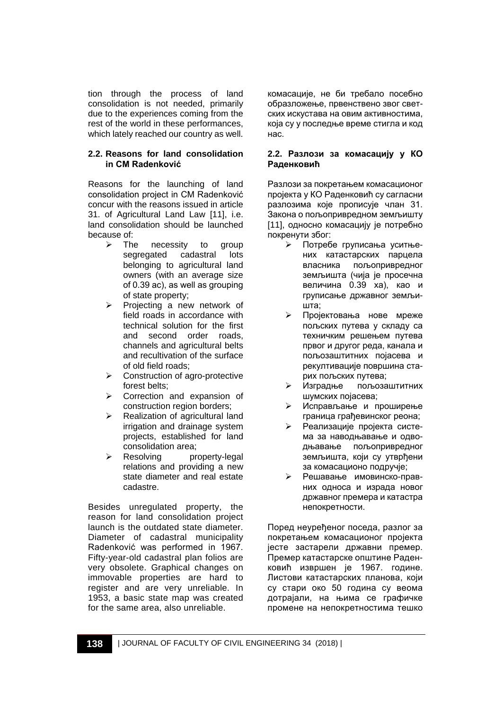tion through the process of land consolidation is not needed, primarily due to the experiences coming from the rest of the world in these performances, which lately reached our country as well.

### **2.2. Reasons for land consolidation in CM Radenković**

Reasons for the launching of land consolidation project in CM Radenković concur with the reasons issued in article 31. of Agricultural Land Law [11], i.e. land consolidation should be launched because of:<br>
> The

- necessity to group segregated cadastral lots belonging to agricultural land owners (with an average size of 0.39 аc), as well as grouping of state property;
- Projecting a new network of field roads in accordance with technical solution for the first and second order roads, channels and agricultural belts and recultivation of the surface of old field roads;
- Construction of agro-protective forest belts;
- Correction and expansion of construction region borders;
- Realization of agricultural land irrigation and drainage system projects, established for land consolidation area;
- Resolving property-legal relations and providing a new state diameter and real estate cadastre.

Besides unregulated property, the reason for land consolidation project launch is the outdated state diameter. Diameter of cadastral municipality Radenković was performed in 1967. Fifty-year-old cadastral plan folios are very obsolete. Graphical changes on immovable properties are hard to register and are very unreliable. In 1953, a basic state map was created for the same area, also unreliable.

комасације, не би требало посебно образложење, првенствено звог светских искустава на овим активностима, која су у последње време стигла и код нас.

#### **2.2. Разлози за комасацију у КО Раденковић**

Разлози за покретањем комасационог пројекта у КО Раденковић су сагласни разлозима које прописује члан 31. Закона о пољопривредном земљишту [11], односно комасацију је потребно покренути због:

- Потребе груписања уситњених катастарских парцела власника пољопривредног земљишта (чија је просечна величина 0.39 ха), као и груписање државног земљишта;
- Пројектовања нове мреже пољских путева у складу са техничким решењем путева првог и другог реда, канала и пољозаштитних појасева и рекултивације површина старих пољских путева;
- Изградње пољозаштитних шумских појасева;
- Исправљање и проширење граница грађевинског реона;
- Реализације пројекта система за наводњавање и одводњавање пољопривредног земљишта, који су утврђени за комасационо подручје;
- Решавање имовинско-правних односа и израда новог државног премера и катастра непокретности.

Поред неуређеног поседа, разлог за покретањем комасационог пројекта јесте застарели државни премер. Премер катастарске општине Раденковић извршен је 1967. године. Листови катастарских планова, који су стари око 50 година су веома дотрајали, на њима се графичке промене на непокретностима тешко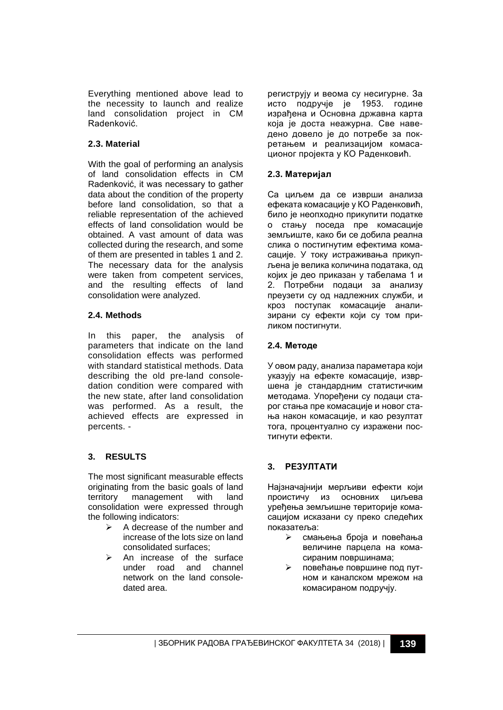Everything mentioned above lead to the necessity to launch and realize land consolidation project in CM Radenković.

# **2.3. Material**

With the goal of performing an analysis of land consolidation effects in CM Radenković, it was necessary to gather data about the condition of the property before land consolidation, so that a reliable representation of the achieved effects of land consolidation would be obtained. A vast amount of data was collected during the research, and some of them are presented in tables 1 and 2. The necessary data for the analysis were taken from competent services, and the resulting effects of land consolidation were analyzed.

## **2.4. Methods**

In this paper, the analysis of parameters that indicate on the land consolidation effects was performed with standard statistical methods. Data describing the old pre-land consoledation condition were compared with the new state, after land consolidation was performed. As a result, the achieved effects are expressed in percents. -

# **3. RESULTS**

The most significant measurable effects originating from the basic goals of land territory management with land consolidation were expressed through the following indicators:

- $\triangleright$  A decrease of the number and increase of the lots size on land consolidated surfaces;
- An increase of the surface under road and channel network on the land consoledated area.

региструју и веома су несигурне. За исто подручје је 1953. године израђена и Основна државна карта која је доста неажурна. Све наведено довело је до потребе за покретањем и реализацијом комасационог пројекта у КО Раденковић.

# **2.3. Материјал**

Са циљем да се изврши анализа ефеката комасације у КО Раденковић, било је неопходно прикупити податке о стању поседа пре комасације земљиште, како би се добила реална слика о постигнутим ефектима комасације. У току истраживања прикупљена је велика количина података, од којих је део приказан у табелама 1 и 2. Потребни подаци за анализу преузети су од надлежних служби, и кроз поступак комасације анализирани су ефекти који су том приликом постигнути.

## **2.4. Методе**

У овом раду, анализа параметара који указују на ефекте комасације, извршена је стандардним статистичким методама. Упоређени су подаци старог стања пре комасације и новог стања након комасације, и као резултат тога, процентуално су изражени постигнути ефекти.

## **3. РЕЗУЛТАТИ**

Најзначајнији мерљиви ефекти који проистичу из основних циљева уређења земљишне територије комасацијом исказани су преко следећих показатеља:

- смањења броја и повећања величине парцела на комасираним површинама;
- повећање површине под путном и каналском мрежом на комасираном подручју.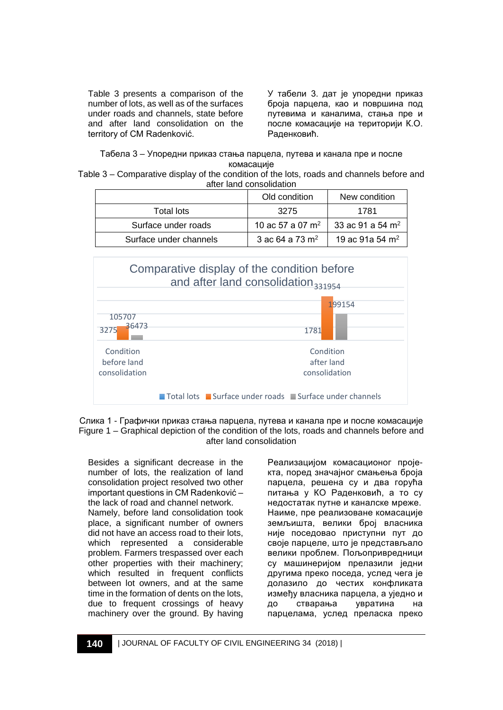Table 3 presents a comparison of the number of lots, as well as of the surfaces under roads and channels, state before and after land consolidation on the territory of CM Radenković.

У табели 3. дат је упоредни приказ броја парцела, као и површина под путевима и каналима, стања пре и после комасације на територији К.О. Раденковић.

Табела 3 – Упоредни приказ стања парцела, путева и канала пре и после комасације

Таble 3 – Comparative display of the condition of the lots, roads and channels before and after land consolidation

|                        | Old condition                | New condition                |
|------------------------|------------------------------|------------------------------|
| Total lots             | 3275                         | 1781                         |
| Surface under roads    | 10 ac 57 a 07 m <sup>2</sup> | 33 ac 91 a 54 m <sup>2</sup> |
| Surface under channels | 3 ac 64 a 73 $m2$            | 19 ac 91a 54 m <sup>2</sup>  |



Слика 1 - Графички приказ стања парцела, путева и канала пре и после комасације Figure 1 – Graphical depiction of the condition of the lots, roads and channels before and after land consolidation

Besides a significant decrease in the number of lots, the realization of land consolidation project resolved two other important questions in CM Radenković – the lack of road and channel network. Namely, before land consolidation took place, a significant number of owners did not have an access road to their lots, which represented a considerable problem. Farmers trespassed over each other properties with their machinery; which resulted in frequent conflicts between lot owners, and at the same time in the formation of dents on the lots, due to frequent crossings of heavy machinery over the ground. By having Реализацијом комасационог пројекта, поред значајног смањења броја парцела, решена су и два горућа питања у КО Раденковић, а то су недостатак путне и каналске мреже. Наиме, пре реализоване комасације земљишта, велики број власника није поседовао приступни пут до своје парцеле, што је представљало велики проблем. Пољопривредници су машинериjом прелазили једни другима преко поседа, услед чега је долазило до честих конфликата између власника парцела, а уједно и до стварања увратина на парцелама, услед преласка преко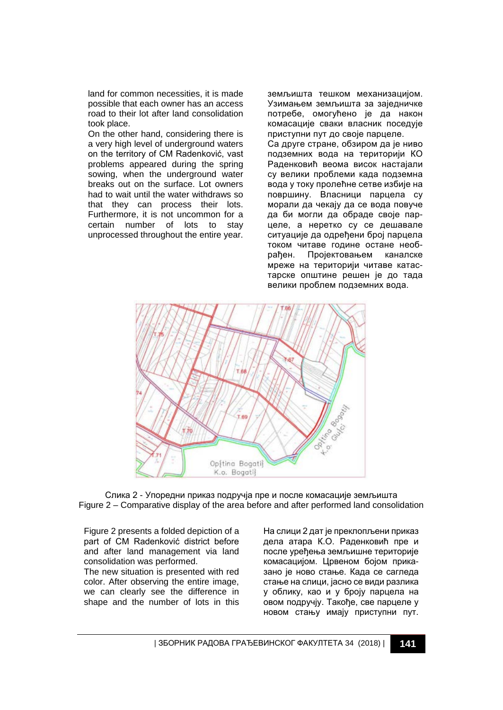land for common necessities, it is made possible that each owner has an access road to their lot after land consolidation took place.

On the other hand, considering there is a very high level of underground waters on the territory of CM Radenković, vast problems appeared during the spring sowing, when the underground water breaks out on the surface. Lot owners had to wait until the water withdraws so that they can process their lots. Furthermore, it is not uncommon for a certain number of lots to stay unprocessed throughout the entire year. земљишта тешком механизацијом. Узимањем земљишта за заједничке потребе, омогућено је да након комасације сваки власник поседује приступни пут до своје парцеле. Са друге стране, обзиром да је ниво подземних вода на територији КО Раденковић веома висок настајали су велики проблеми када подземна вода у току пролећне сетве избије на површину. Власници парцела су морали да чекају да се вода повуче да би могли да обраде своје парцеле, а неретко су се дешавале ситуације да одређени број парцела током читаве године остане необрађен. Пројектовањем каналске мреже на територији читаве катастарске општине решен је до тада велики проблем подземних вода.



Слика 2 - Упоредни приказ подручја пре и после комасације земљишта Figure 2 – Comparative display of the area before and after performed land consolidation

Figure 2 presents a folded depiction of a part of CM Radenković district before and after land management via land consolidation was performed.

The new situation is presented with red color. After observing the entire image, we can clearly see the difference in shape and the number of lots in this

На слици 2 дат је преклопљени приказ дела атара К.О. Раденковић пре и после уређења земљишне територије комасацијом. Црвеном бојом приказано је ново стање. Када се сагледа стање на слици, јасно се види разлика у облику, као и у броју парцела на овом подручју. Такође, све парцеле у новом стању имају приступни пут.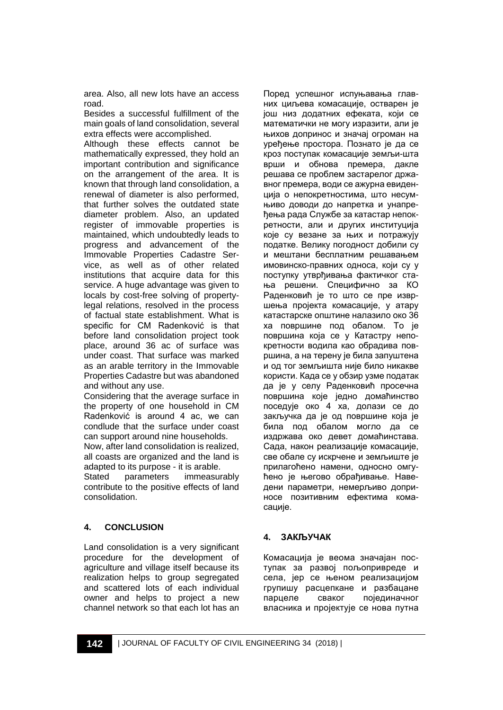area. Also, all new lots have an access road.

Besides a successful fulfillment of the main goals of land consolidation, several extra effects were accomplished.

Although these effects cannot be mathematically expressed, they hold an important contribution and significance on the arrangement of the area. It is known that through land consolidation, a renewal of diameter is also performed, that further solves the outdated state diameter problem. Also, an updated register of immovable properties is maintained, which undoubtedly leads to progress and advancement of the Immovable Properties Cadastre Service, as well as of other related institutions that acquire data for this service. A huge advantage was given to locals by cost-free solving of propertylegal relations, resolved in the process of factual state establishment. What is specific for CM Radenković is that before land consolidation project took place, around 36 ac of surface was under coast. That surface was marked as an arable territory in the Immovable Properties Cadastre but was abandoned and without any use.

Considering that the average surface in the property of one household in CM Radenković is around 4 ac, we can condlude that the surface under coast can support around nine households.

Now, after land consolidation is realized, all coasts are organized and the land is adapted to its purpose - it is arable.

Stated parameters immeasurably contribute to the positive effects of land consolidation.

# **4. CONCLUSION**

Land consolidation is a very significant procedure for the development of agriculture and village itself because its realization helps to group segregated and scattered lots of each individual owner and helps to project a new channel network so that each lot has an Поред успешног испуњавања главних циљева комасације, остварен је још низ додатних ефеката, који се математички не могу изразити, али је њихов допринос и значај огроман на уређење простора. Познато је да се кроз поступак комасације земљи-шта врши и обнова премера, дакле решава се проблем застарелог државног премера, води се ажурна евиденција о непокретностима, што несумњиво доводи до напретка и унапређења рада Службе за катастар непокретности, али и других институција које су везане за њих и потражују податке. Велику погодност добили су и мештани бесплатним решавањем имовинско-правних односа, који су у поступку утврђивања фактичког стања решени. Специфично за КО Раденковић је то што се пре извршења пројекта комасације, у атару катастарске општине налазило око 36 ха површине под обалом. То је површина која се у Катастру непокретности водила као обрадива површина, а на терену је била запуштена и од тог земљишта није било никакве користи. Када се у обзир узме податак да је у селу Раденковић просечна површина које једно домаћинство поседује око 4 ха, долази се до закључка да је од површине која је била под обалом могло да се издржава око девет домаћинстава. Сада, након реализације комасације, све обале су искрчене и земљиште је прилагоћено намени, односно омгућено је његово обрађивање. Наведени параметри, немерљиво доприносе позитивним ефектима комасације.

# **4. ЗАКЉУЧАК**

Комасација је веома значајан поступак за развој пољопривреде и села, јер се њеном реализацијом групишу расцепкане и разбацане парцеле сваког појединачног власника и пројектује се нова путна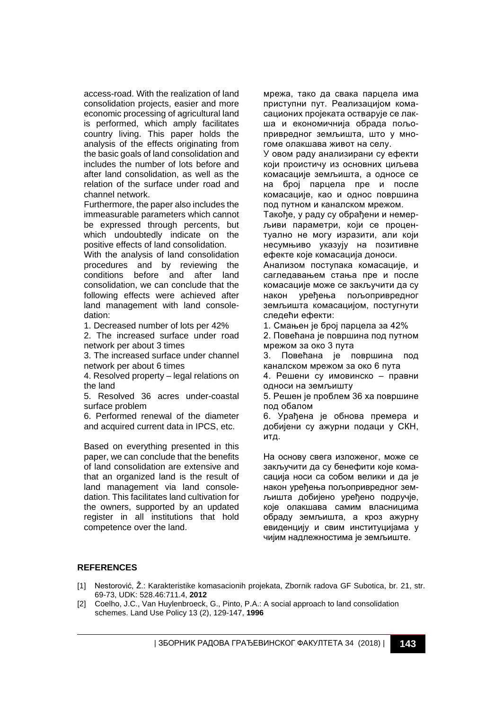access-road. With the realization of land consolidation projects, easier and more economic processing of agricultural land is performed, which amply facilitates country living. This paper holds the analysis of the effects originating from the basic goals of land consolidation and includes the number of lots before and after land consolidation, as well as the relation of the surface under road and channel network.

Furthermore, the paper also includes the immeasurable parameters which cannot be expressed through percents, but which undoubtedly indicate on the positive effects of land consolidation.

With the analysis of land consolidation procedures and by reviewing the<br>conditions before and after land conditions before and after consolidation, we can conclude that the following effects were achieved after land management with land consoledation:

1. Decreased number of lots per 42%

2. The increased surface under road network per about 3 times

3. The increased surface under channel network per about 6 times

4. Resolved property – legal relations on the land

5. Resolved 36 acres under-coastal surface problem

6. Performed renewal of the diameter and acquired current data in IPCS, etc.

Based on everything presented in this paper, we can conclude that the benefits of land consolidation are extensive and that an organized land is the result of land management via land consoledation. This facilitates land cultivation for the owners, supported by an updated register in all institutions that hold competence over the land.

мрежа, тако да свака парцела има приступни пут. Реализацијом комасационих пројеката остварује се лакша и економичнија обрада пољопривредног земљишта, што у многоме олакшава живот на селу.

У овом раду анализирани су ефекти који проистичу из основних циљева комасације земљишта, а односе се на број парцела пре и после комасације, као и однос површина под путном и каналском мрежом.

Такође, у раду су обрађени и немерљиви параметри, који се процентуално не могу изразити, али који несумњиво указују на позитивне ефекте које комасација доноси.

Анализом поступака комасације, и сагледавањем стања пре и после комасације може се закључити да су након уређења пољопривредног земљишта комасацијом, постугнути следећи ефекти:

1. Смањен је број парцела за 42%

2. Повећана је површина под путном мрежом за око 3 пута

3. Повећана је површина под каналском мрежом за око 6 пута

4. Решени су имовинско – правни односи на земљишту

5. Решен је проблем 36 ха површине под обалом

6. Урађена је обнова премера и добијени су ажурни подаци у СКН, итд.

На основу свега изложеног, може се закључити да су бенефити које комасација носи са собом велики и да је након уређења пољопривредног земљишта добијено уређено подручје, које олакшава самим власницима обраду земљишта, а кроз ажурну евиденцију и свим институцијама у чијим надлежностима је земљиште.

#### **REFERENCES**

- [1] Nestorović, Ž.: Karakteristike komasacionih projekata, Zbornik radova GF Subotica, br. 21, str. 69-73, UDK: 528.46:711.4, **2012**
- [2] Coelho, J.C., Van Huylenbroeck, G., Pinto, P.A.: A social approach to land consolidation schemes. Land Use Policy 13 (2), 129-147, **1996**

| ЗБОРНИК РАДОВА ГРАЂЕВИНСКОГ ФАКУЛТЕТА 34 (2018) | **143**